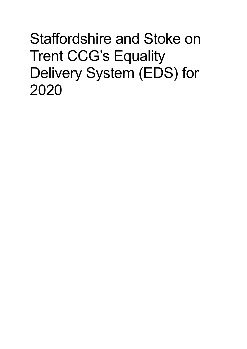Staffordshire and Stoke on Trent CCG's Equality Delivery System (EDS) for 2020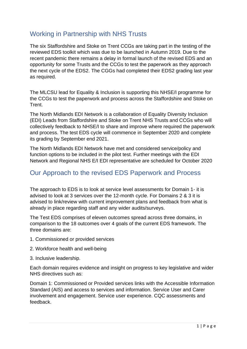## Working in Partnership with NHS Trusts

The six Staffordshire and Stoke on Trent CCGs are taking part in the testing of the reviewed EDS toolkit which was due to be launched in Autumn 2019. Due to the recent pandemic there remains a delay in formal launch of the revised EDS and an opportunity for some Trusts and the CCGs to test the paperwork as they approach the next cycle of the EDS2. The CGGs had completed their EDS2 grading last year as required.

The MLCSU lead for Equality & Inclusion is supporting this NHSE/I programme for the CCGs to test the paperwork and process across the Staffordshire and Stoke on Trent.

The North Midlands EDI Network is a collaboration of Equality Diversity Inclusion (EDI) Leads from Staffordshire and Stoke on Trent NHS Trusts and CCGs who will collectively feedback to NHSE/I to share and improve where required the paperwork and process. The test EDS cycle will commence in September 2020 and complete its grading by September end 2021.

The North Midlands EDI Network have met and considered service/policy and function options to be included in the pilot test. Further meetings with the EDI Network and Regional NHS E/I EDI representative are scheduled for October 2020

## Our Approach to the revised EDS Paperwork and Process

The approach to EDS is to look at service level assessments for Domain 1- it is advised to look at 3 services over the 12-month cycle. For Domains 2 & 3 it is advised to link/review with current improvement plans and feedback from what is already in place regarding staff and any wider audits/surveys.

The Test EDS comprises of eleven outcomes spread across three domains, in comparison to the 18 outcomes over 4 goals of the current EDS framework. The three domains are:

- 1. Commissioned or provided services
- 2. Workforce health and well-being
- 3. Inclusive leadership.

Each domain requires evidence and insight on progress to key legislative and wider NHS directives such as:

Domain 1: Commissioned or Provided services links with the Accessible Information Standard (AIS) and access to services and information. Service User and Carer involvement and engagement. Service user experience. CQC assessments and feedback.